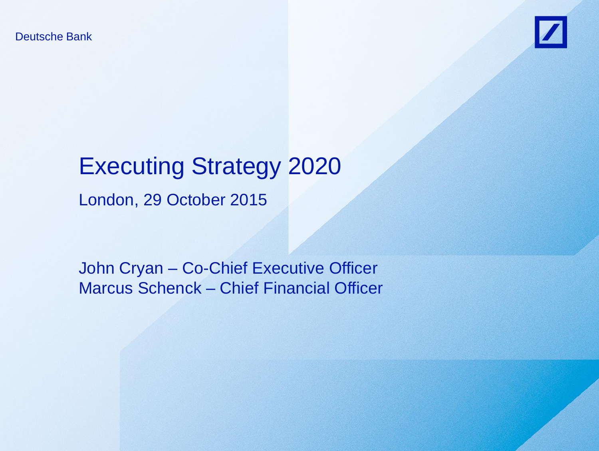Deutsche Bank



# Executing Strategy 2020

London, 29 October 2015

John Cryan – Co-Chief Executive Officer Marcus Schenck – Chief Financial Officer

Deutsche Bank oder deutsche Bank deutsche Bank deutsche Bank der Bank der Bank der Bank der Bank der Bank der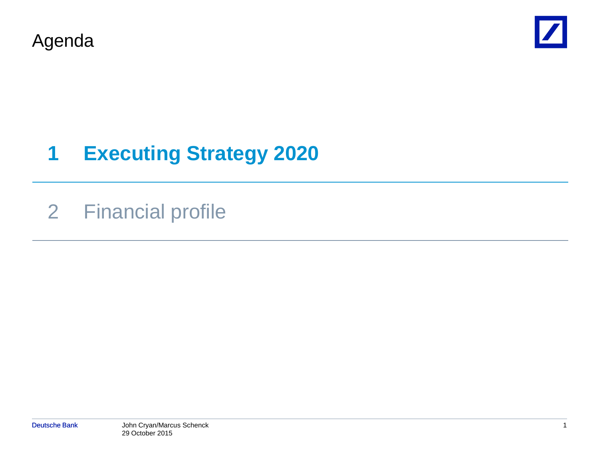Agenda



# **1 Executing Strategy 2020**

## 2 Financial profile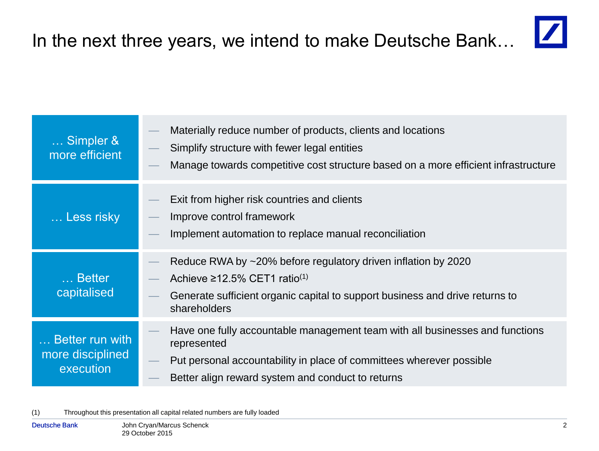

| Simpler &<br>more efficient                      | Materially reduce number of products, clients and locations<br>Simplify structure with fewer legal entities<br>Manage towards competitive cost structure based on a more efficient infrastructure                        |
|--------------------------------------------------|--------------------------------------------------------------------------------------------------------------------------------------------------------------------------------------------------------------------------|
| Less risky                                       | Exit from higher risk countries and clients<br>Improve control framework<br>Implement automation to replace manual reconciliation                                                                                        |
| Better<br>capitalised                            | Reduce RWA by ~20% before regulatory driven inflation by 2020<br>Achieve $\geq$ 12.5% CET1 ratio <sup>(1)</sup><br>Generate sufficient organic capital to support business and drive returns to<br>shareholders          |
| Better run with<br>more disciplined<br>execution | Have one fully accountable management team with all businesses and functions<br>represented<br>Put personal accountability in place of committees wherever possible<br>Better align reward system and conduct to returns |

(1) Throughout this presentation all capital related numbers are fully loaded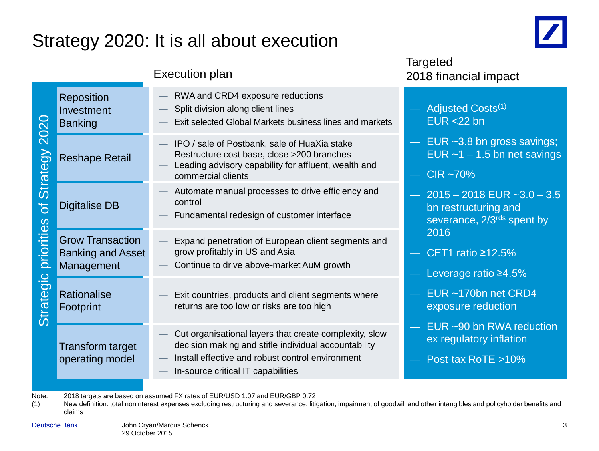### Strategy 2020: It is all about execution



Targeted

|                                                   | Taryotou<br>2018 financial impact                                                                                                                                                                        |                                                                                       |
|---------------------------------------------------|----------------------------------------------------------------------------------------------------------------------------------------------------------------------------------------------------------|---------------------------------------------------------------------------------------|
| <b>Reposition</b><br>Investment<br><b>Banking</b> | RWA and CRD4 exposure reductions<br>Split division along client lines<br>Exit selected Global Markets business lines and markets                                                                         | Adjusted Costs <sup>(1)</sup><br>$EUR < 22$ bn                                        |
| <b>Reshape Retail</b>                             | IPO / sale of Postbank, sale of HuaXia stake<br>Restructure cost base, close >200 branches<br>Leading advisory capability for affluent, wealth and<br>commercial clients                                 | $-$ EUR $\sim$ 3.8 bn gross savings;<br>EUR $~1$ – 1.5 bn net savings<br>CIR ~70%     |
| <b>Digitalise DB</b>                              | Automate manual processes to drive efficiency and<br>control<br>Fundamental redesign of customer interface                                                                                               | $-2015 - 2018$ EUR $-3.0 - 3.5$<br>bn restructuring and<br>severance, 2/3rds spent by |
| <b>Grow Transaction</b><br>Management             | Expand penetration of European client segments and<br>grow profitably in US and Asia<br>Continue to drive above-market AuM growth                                                                        | 2016<br>CET1 ratio $\geq$ 12.5%<br>Leverage ratio $\geq 4.5\%$                        |
| <b>Rationalise</b><br>Footprint                   | Exit countries, products and client segments where<br>returns are too low or risks are too high                                                                                                          | EUR ~170bn net CRD4<br>exposure reduction                                             |
| <b>Transform target</b><br>operating model        | Cut organisational layers that create complexity, slow<br>decision making and stifle individual accountability<br>Install effective and robust control environment<br>In-source critical IT capabilities | EUR ~90 bn RWA reduction<br>ex regulatory inflation<br>Post-tax RoTE >10%             |
|                                                   | <b>Banking and Asset</b>                                                                                                                                                                                 | <b>Execution plan</b>                                                                 |

Note: 2018 targets are based on assumed FX rates of EUR/USD 1.07 and EUR/GBP 0.72

(1) New definition: total noninterest expenses excluding restructuring and severance, litigation, impairment of goodwill and other intangibles and policyholder benefits and claims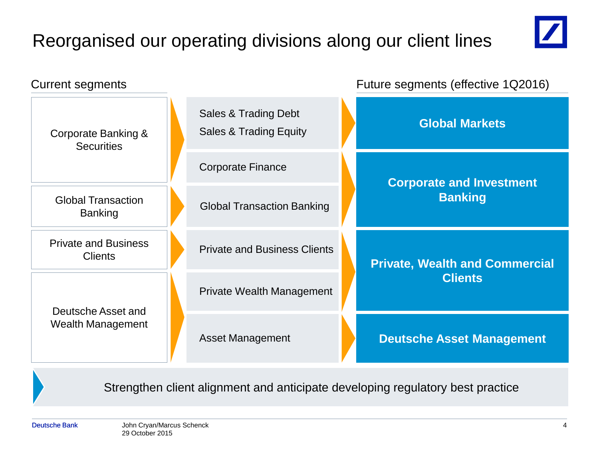## Reorganised our operating divisions along our client lines





Strengthen client alignment and anticipate developing regulatory best practice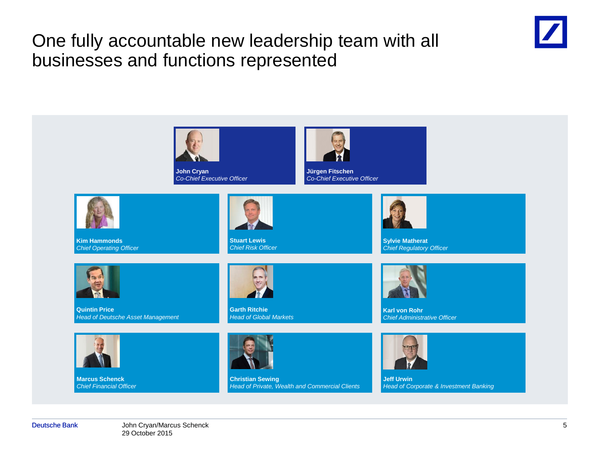#### One fully accountable new leadership team with all businesses and functions represented



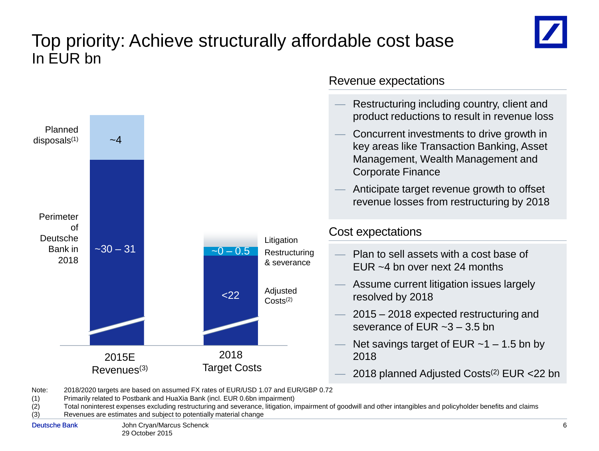#### Top priority: Achieve structurally affordable cost base In EUR bn





Note: 2018/2020 targets are based on assumed FX rates of EUR/USD 1.07 and EUR/GBP 0.72

(1) Primarily related to Postbank and HuaXia Bank (incl. EUR 0.6bn impairment)

(2) Total noninterest expenses excluding restructuring and severance, litigation, impairment of goodwill and other intangibles and policyholder benefits and claims

(3) Revenues are estimates and subject to potentially material change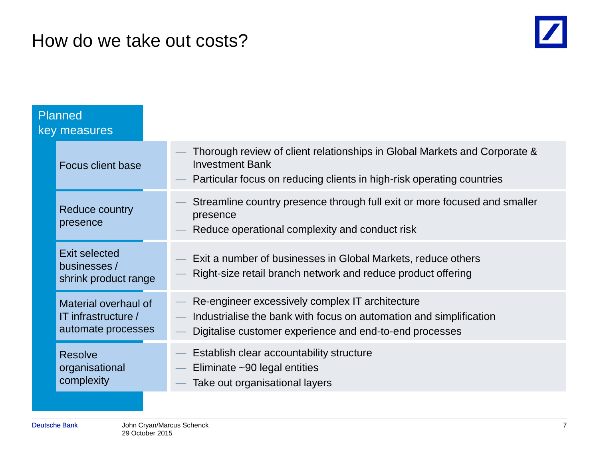#### How do we take out costs?



| <b>Planned</b><br>key measures                                    |                                                                                                                                                                                  |
|-------------------------------------------------------------------|----------------------------------------------------------------------------------------------------------------------------------------------------------------------------------|
| <b>Focus client base</b>                                          | Thorough review of client relationships in Global Markets and Corporate &<br><b>Investment Bank</b><br>Particular focus on reducing clients in high-risk operating countries     |
| Reduce country<br>presence                                        | Streamline country presence through full exit or more focused and smaller<br>presence<br>Reduce operational complexity and conduct risk                                          |
| <b>Exit selected</b><br>businesses /<br>shrink product range      | Exit a number of businesses in Global Markets, reduce others<br>Right-size retail branch network and reduce product offering                                                     |
| Material overhaul of<br>IT infrastructure /<br>automate processes | Re-engineer excessively complex IT architecture<br>Industrialise the bank with focus on automation and simplification<br>Digitalise customer experience and end-to-end processes |
| <b>Resolve</b><br>organisational<br>complexity                    | Establish clear accountability structure<br>Eliminate ~90 legal entities<br>Take out organisational layers                                                                       |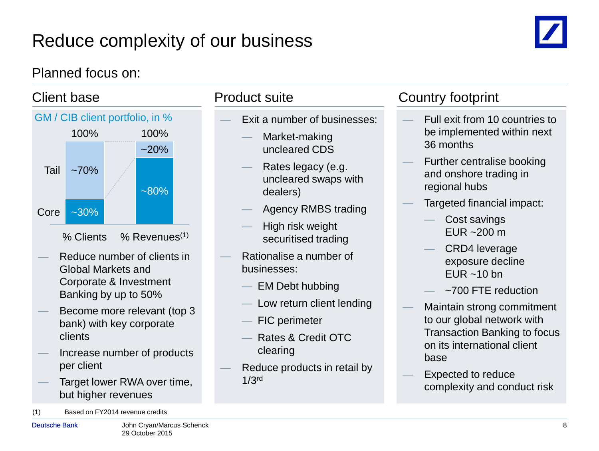## Reduce complexity of our business



#### Planned focus on:



- Reduce number of clients in Global Markets and Corporate & Investment Banking by up to 50%
- Become more relevant (top 3 bank) with key corporate clients
- Increase number of products per client
- Target lower RWA over time, but higher revenues
- (1) Based on FY2014 revenue credits

- Exit a number of businesses:
	- Market-making uncleared CDS
	- Rates legacy (e.g. uncleared swaps with dealers)
	- Agency RMBS trading
	- High risk weight securitised trading
- Rationalise a number of businesses:
	- EM Debt hubbing
	- Low return client lending
	- FIC perimeter
	- Rates & Credit OTC clearing
- Reduce products in retail by 1/3rd

#### Client base **Product suite** Country footprint

- Full exit from 10 countries to be implemented within next 36 months
- Further centralise booking and onshore trading in regional hubs
- Targeted financial impact:
	- Cost savings EUR  $~200 \text{ m}$
	- CRD4 leverage exposure decline EUR  $~10$  bn
	- ~700 FTE reduction
- Maintain strong commitment to our global network with Transaction Banking to focus on its international client base
- Expected to reduce complexity and conduct risk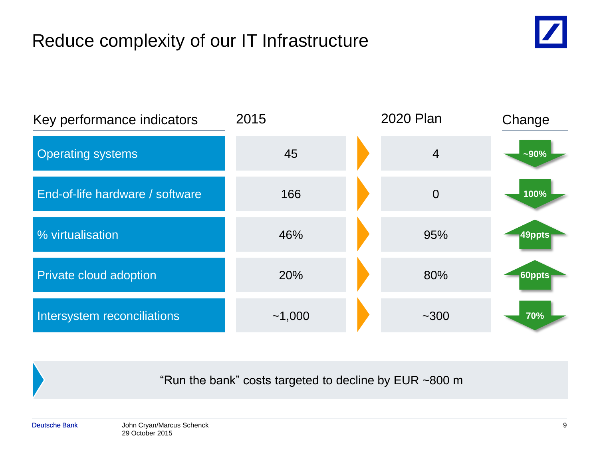## Reduce complexity of our IT Infrastructure



| Key performance indicators      | 2015   | 2020 Plan      | Change |
|---------------------------------|--------|----------------|--------|
| <b>Operating systems</b>        | 45     | 4              | $-90%$ |
| End-of-life hardware / software | 166    | $\overline{0}$ | 100%   |
| % virtualisation                | 46%    | 95%            | 49ppts |
| Private cloud adoption          | 20%    | 80%            | 60ppts |
| Intersystem reconciliations     | ~1,000 | $~1 - 300$     | 70%    |

"Run the bank" costs targeted to decline by EUR ~800 m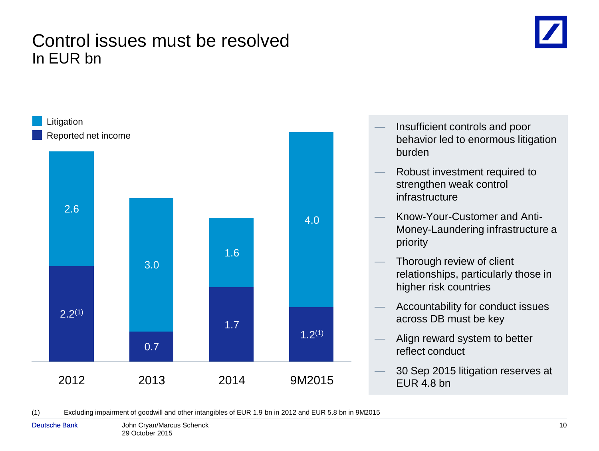#### Control issues must be resolved In EUR bn





(1) Excluding impairment of goodwill and other intangibles of EUR 1.9 bn in 2012 and EUR 5.8 bn in 9M2015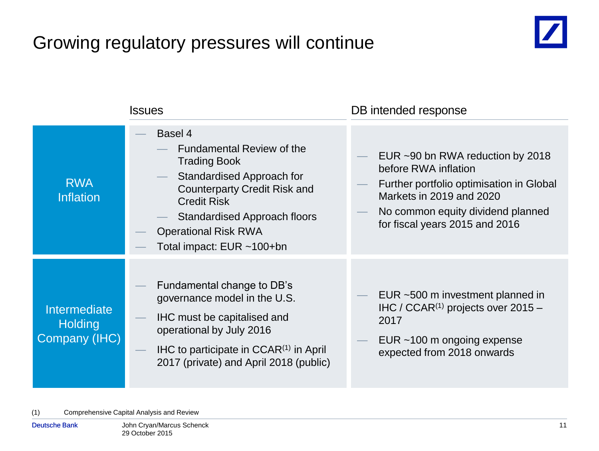## Growing regulatory pressures will continue



|                                                        | <b>Issues</b>                                                                                                                                                                                                                                                   | DB intended response                                                                                                                                                                                    |
|--------------------------------------------------------|-----------------------------------------------------------------------------------------------------------------------------------------------------------------------------------------------------------------------------------------------------------------|---------------------------------------------------------------------------------------------------------------------------------------------------------------------------------------------------------|
| <b>RWA</b><br><b>Inflation</b>                         | Basel 4<br><b>Fundamental Review of the</b><br><b>Trading Book</b><br>Standardised Approach for<br><b>Counterparty Credit Risk and</b><br><b>Credit Risk</b><br><b>Standardised Approach floors</b><br><b>Operational Risk RWA</b><br>Total impact: EUR ~100+bn | EUR ~90 bn RWA reduction by 2018<br>before RWA inflation<br>Further portfolio optimisation in Global<br>Markets in 2019 and 2020<br>No common equity dividend planned<br>for fiscal years 2015 and 2016 |
| <b>Intermediate</b><br><b>Holding</b><br>Company (IHC) | Fundamental change to DB's<br>governance model in the U.S.<br><b>IHC must be capitalised and</b><br>operational by July 2016<br>$H C$ to participate in $C C A R^{(1)}$ in April<br>2017 (private) and April 2018 (public)                                      | EUR ~500 m investment planned in<br>IHC / CCAR <sup>(1)</sup> projects over $2015 -$<br>2017<br>EUR ~100 m ongoing expense<br>expected from 2018 onwards                                                |

(1) Comprehensive Capital Analysis and Review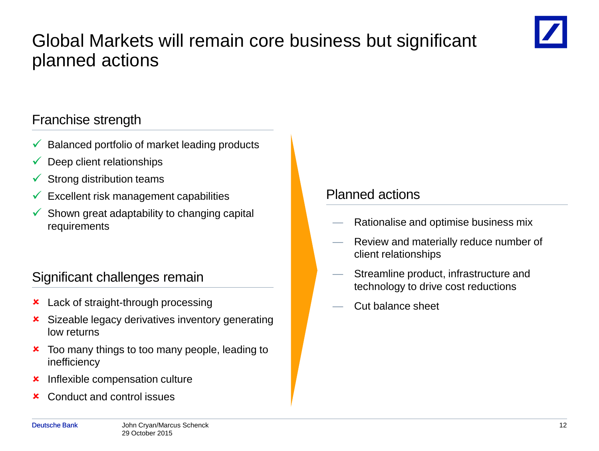#### Global Markets will remain core business but significant planned actions



- Balanced portfolio of market leading products
- Deep client relationships
- $\checkmark$  Strong distribution teams
- $\checkmark$  Excellent risk management capabilities
- $\checkmark$  Shown great adaptability to changing capital requirements

#### Significant challenges remain

- **x** Lack of straight-through processing
- **x** Sizeable legacy derivatives inventory generating low returns
- **x** Too many things to too many people, leading to inefficiency
- **x** Inflexible compensation culture
- Conduct and control issues

#### Planned actions

- Rationalise and optimise business mix
- Review and materially reduce number of client relationships
- Streamline product, infrastructure and technology to drive cost reductions
- Cut balance sheet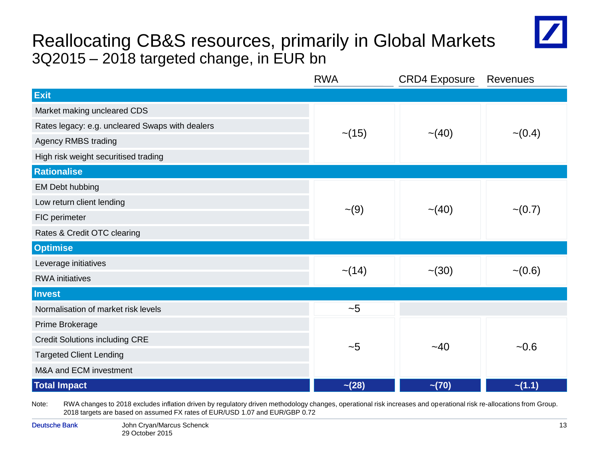#### Reallocating CB&S resources, primarily in Global Markets 3Q2015 – 2018 targeted change, in EUR bn



|                                                 | <b>RWA</b>  | <b>CRD4 Exposure</b> | <b>Revenues</b> |  |
|-------------------------------------------------|-------------|----------------------|-----------------|--|
| <b>Exit</b>                                     |             |                      |                 |  |
| Market making uncleared CDS                     |             |                      |                 |  |
| Rates legacy: e.g. uncleared Swaps with dealers | $\sim$ (15) | $\sim (40)$          | $\sim (0.4)$    |  |
| Agency RMBS trading                             |             |                      |                 |  |
| High risk weight securitised trading            |             |                      |                 |  |
| <b>Rationalise</b>                              |             |                      |                 |  |
| EM Debt hubbing                                 |             |                      |                 |  |
| Low return client lending                       |             | $\sim$ (40)          | $\sim (0.7)$    |  |
| FIC perimeter                                   | $\sim (9)$  |                      |                 |  |
| Rates & Credit OTC clearing                     |             |                      |                 |  |
| <b>Optimise</b>                                 |             |                      |                 |  |
| Leverage initiatives                            | $\sim$ (14) | $-(30)$              |                 |  |
| <b>RWA</b> initiatives                          |             |                      | $-(0.6)$        |  |
| <b>Invest</b>                                   |             |                      |                 |  |
| Normalisation of market risk levels             | ~1          |                      |                 |  |
| Prime Brokerage                                 |             |                      |                 |  |
| <b>Credit Solutions including CRE</b>           | ~1          | $-40$                | $-0.6$          |  |
| <b>Targeted Client Lending</b>                  |             |                      |                 |  |
| M&A and ECM investment                          |             |                      |                 |  |
| <b>Total Impact</b>                             | $-(28)$     | $-(70)$              | $-(1.1)$        |  |

Note: RWA changes to 2018 excludes inflation driven by regulatory driven methodology changes, operational risk increases and operational risk re-allocations from Group. 2018 targets are based on assumed FX rates of EUR/USD 1.07 and EUR/GBP 0.72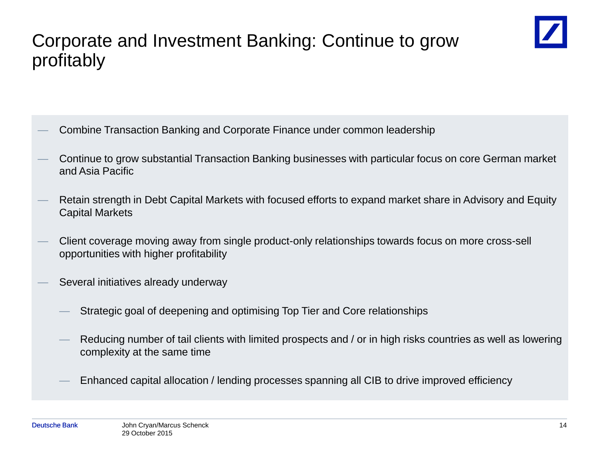

- Combine Transaction Banking and Corporate Finance under common leadership
- Continue to grow substantial Transaction Banking businesses with particular focus on core German market and Asia Pacific
- Retain strength in Debt Capital Markets with focused efforts to expand market share in Advisory and Equity Capital Markets
- Client coverage moving away from single product-only relationships towards focus on more cross-sell opportunities with higher profitability
- Several initiatives already underway
	- Strategic goal of deepening and optimising Top Tier and Core relationships
	- Reducing number of tail clients with limited prospects and / or in high risks countries as well as lowering complexity at the same time
	- Enhanced capital allocation / lending processes spanning all CIB to drive improved efficiency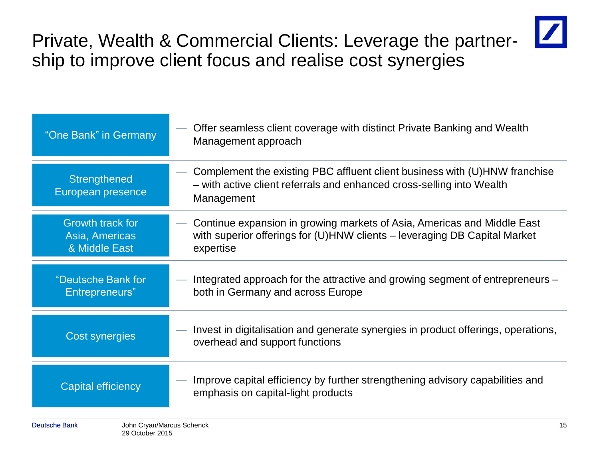

Private, Wealth & Commercial Clients: Leverage the partnership to improve client focus and realise cost synergies

| "One Bank" in Germany                               | Offer seamless client coverage with distinct Private Banking and Wealth<br>Management approach                                                                    |    |
|-----------------------------------------------------|-------------------------------------------------------------------------------------------------------------------------------------------------------------------|----|
| Strengthened<br>European presence                   | Complement the existing PBC affluent client business with (U)HNW franchise<br>- with active client referrals and enhanced cross-selling into Wealth<br>Management |    |
| Growth track for<br>Asia, Americas<br>& Middle East | Continue expansion in growing markets of Asia, Americas and Middle East<br>with superior offerings for (U)HNW clients – leveraging DB Capital Market<br>expertise |    |
| "Deutsche Bank for<br>Entrepreneurs"                | Integrated approach for the attractive and growing segment of entrepreneurs –<br>both in Germany and across Europe                                                |    |
| Cost synergies                                      | Invest in digitalisation and generate synergies in product offerings, operations,<br>overhead and support functions                                               |    |
| <b>Capital efficiency</b>                           | Improve capital efficiency by further strengthening advisory capabilities and<br>emphasis on capital-light products                                               |    |
| John Cryan/Marcus Schenck<br><b>Deutsche Bank</b>   |                                                                                                                                                                   | 15 |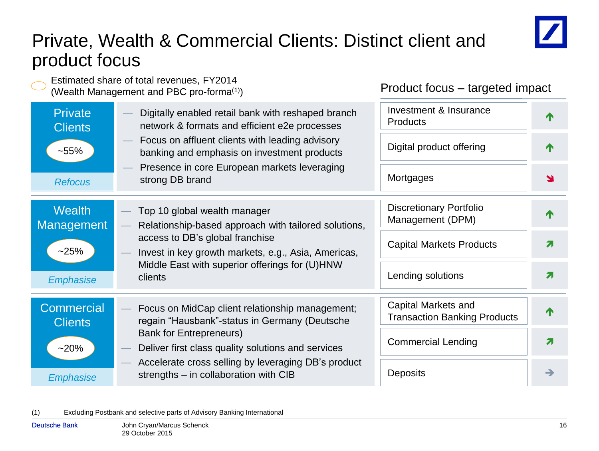### Private, Wealth & Commercial Clients: Distinct client and product focus



Estimated share of total revenues, FY2014 (Wealth Management and PBC pro-forma(1)) Product focus – targeted impact Investment & Insurance **Private** — Digitally enabled retail bank with reshaped branch 个 **Products** network & formats and efficient e2e processes **Clients** — Focus on affluent clients with leading advisory Digital product offering 小 ~55% banking and emphasis on investment products — Presence in core European markets leveraging **Mortgages** strong DB brand  $\blacktriangle$ *Refocus* Discretionary Portfolio **Wealth** — Top 10 global wealth manager T Management (DPM) Management — Relationship-based approach with tailored solutions, access to DB's global franchise Capital Markets Products  $\overline{\mathbf{z}}$  $~25%$ — Invest in key growth markets, e.g., Asia, Americas, Middle East with superior offerings for (U)HNW Lending solutions 7 clients *Emphasise* Capital Markets and **Commercial** Focus on MidCap client relationship management; 个 Transaction Banking Products regain "Hausbank"-status in Germany (Deutsche **Clients** Bank for Entrepreneurs) Commercial Lending and all  $\sigma$  $~20\%$ — Deliver first class quality solutions and services — Accelerate cross selling by leveraging DB's product **Deposits**  $\rightarrow$ strengths – in collaboration with CIB *Emphasize*

#### (1) Excluding Postbank and selective parts of Advisory Banking International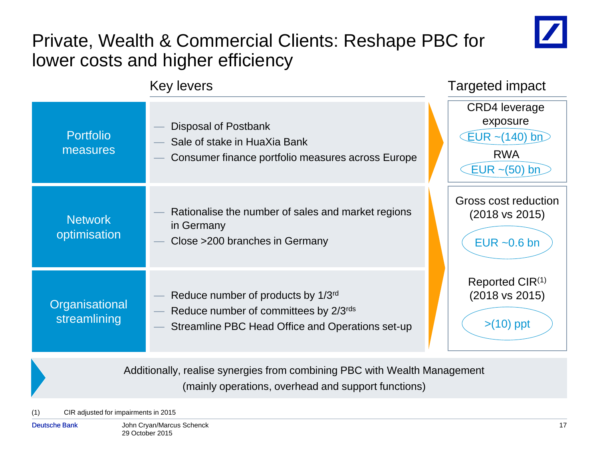

### Private, Wealth & Commercial Clients: Reshape PBC for lower costs and higher efficiency



Additionally, realise synergies from combining PBC with Wealth Management (mainly operations, overhead and support functions)

(1) CIR adjusted for impairments in 2015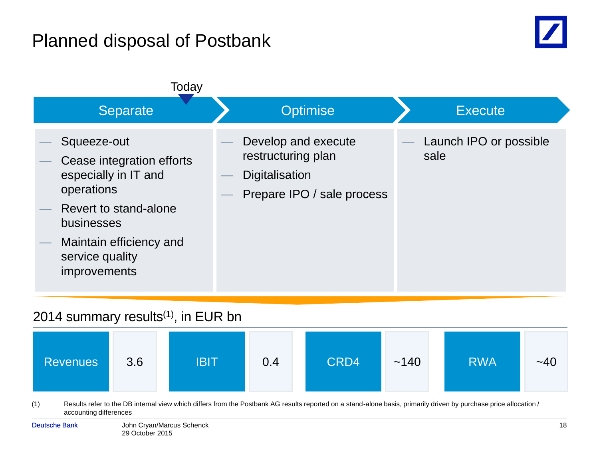### Planned disposal of Postbank





#### 2014 summary results $(1)$ , in EUR bn

| <b>Revenues</b> | 3.6 | <b>IBIT</b> | 0.4 | CRD4 | ~140 | <b>RWA</b> | $-40$ |
|-----------------|-----|-------------|-----|------|------|------------|-------|
|-----------------|-----|-------------|-----|------|------|------------|-------|

(1) Results refer to the DB internal view which differs from the Postbank AG results reported on a stand-alone basis, primarily driven by purchase price allocation / accounting differences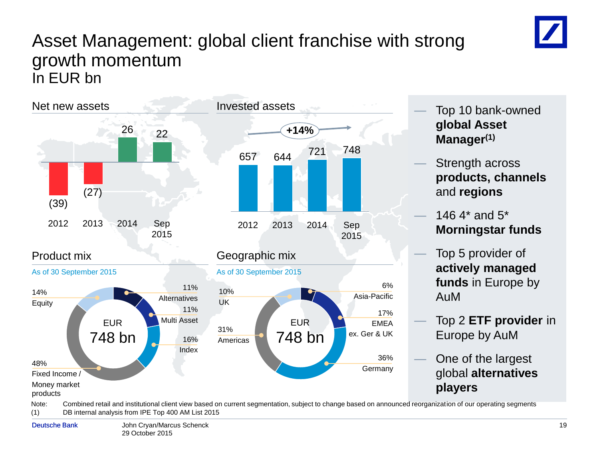#### Asset Management: global client franchise with strong growth momentum In EUR bn



- Top 10 bank-owned **global Asset Manager(1)**
- Strength across **products, channels**  and **regions**
- 146.4 $*$  and  $5*$ **Morningstar funds**
- Top 5 provider of **actively managed funds** in Europe by AuM
- Top 2 **ETF provider** in Europe by AuM
- One of the largest global **alternatives players**

Note: Combined retail and institutional client view based on current segmentation, subject to change based on announced reorganization of our operating segments (1) DB internal analysis from IPE Top 400 AM List 2015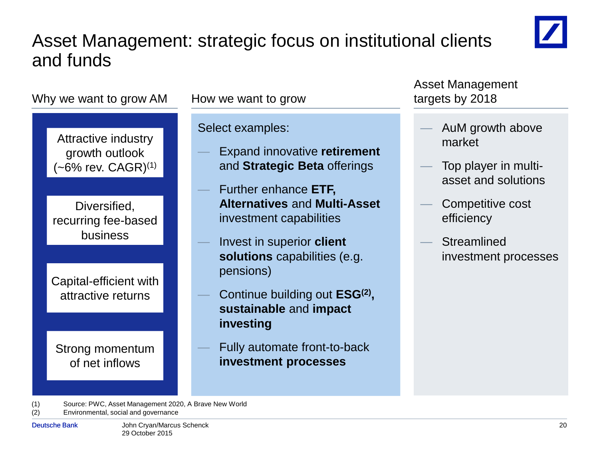### Asset Management: strategic focus on institutional clients and funds





(1) Source: PWC, Asset Management 2020, A Brave New World (2) Environmental, social and governance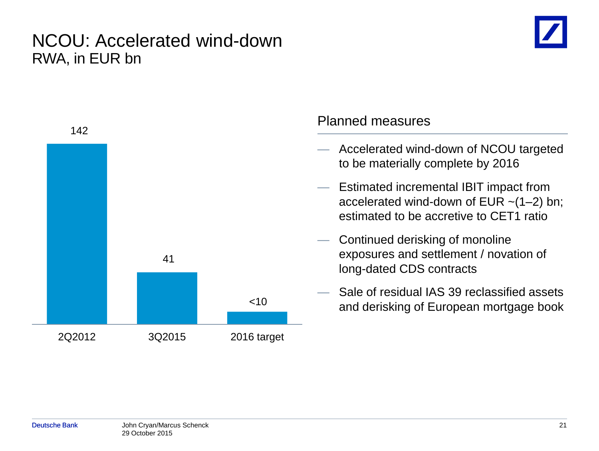#### NCOU: Accelerated wind-down RWA, in EUR bn

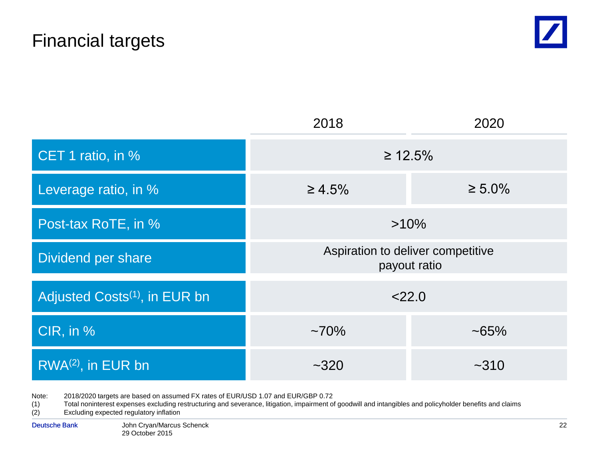

|                                           | 2018                                              | 2020         |  |
|-------------------------------------------|---------------------------------------------------|--------------|--|
| CET 1 ratio, in %                         | $\geq 12.5\%$                                     |              |  |
| Leverage ratio, in %                      | $\geq 4.5\%$                                      | $\geq 5.0\%$ |  |
| Post-tax RoTE, in %                       | $>10\%$                                           |              |  |
| Dividend per share                        | Aspiration to deliver competitive<br>payout ratio |              |  |
| Adjusted Costs <sup>(1)</sup> , in EUR bn | 22.0                                              |              |  |
| CIR, in %                                 | $~10\%$<br>$~165\%$                               |              |  |
| RWA <sup>(2)</sup> , in EUR bn            | ~1,320                                            | ~10          |  |

Note: 2018/2020 targets are based on assumed FX rates of EUR/USD 1.07 and EUR/GBP 0.72

(1) Total noninterest expenses excluding restructuring and severance, litigation, impairment of goodwill and intangibles and policyholder benefits and claims<br>(2) Excluding expected regulatory inflation

Excluding expected regulatory inflation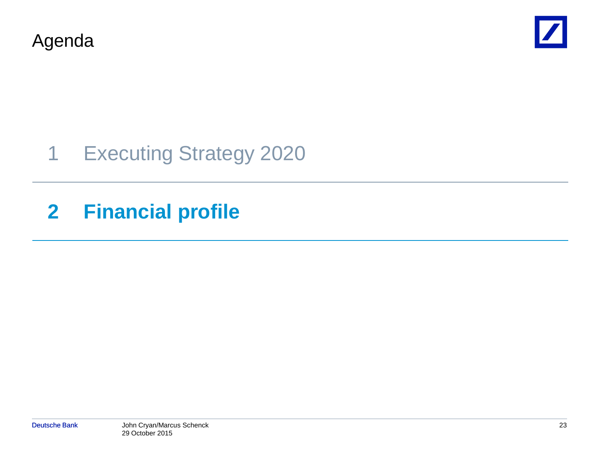Agenda



## 1 Executing Strategy 2020

## **2 Financial profile**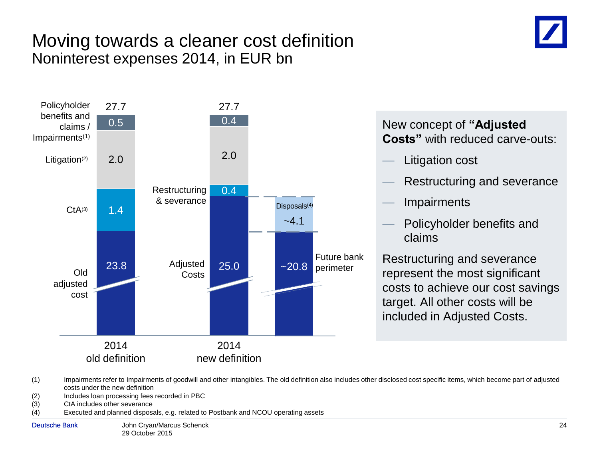#### Moving towards a cleaner cost definition Noninterest expenses 2014, in EUR bn



#### New concept of **"Adjusted Costs"** with reduced carve-outs:

- Litigation cost
- Restructuring and severance
- **Impairments**
- Policyholder benefits and claims

Restructuring and severance represent the most significant costs to achieve our cost savings target. All other costs will be included in Adjusted Costs.

- (1) Impairments refer to Impairments of goodwill and other intangibles. The old definition also includes other disclosed cost specific items, which become part of adjusted costs under the new definition
- (2) Includes loan processing fees recorded in PBC
- (3) CtA includes other severance
- (4) Executed and planned disposals, e.g. related to Postbank and NCOU operating assets
-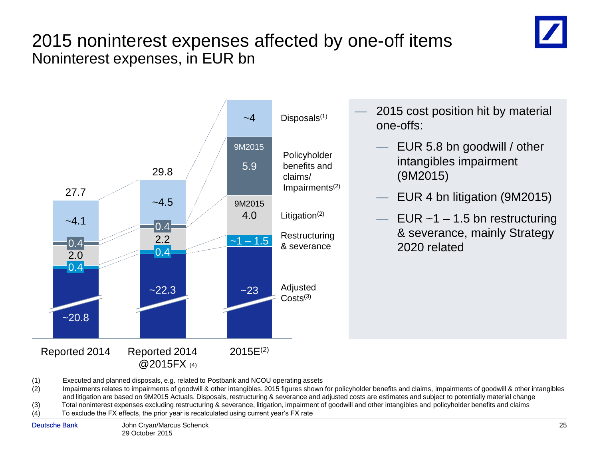#### 2015 noninterest expenses affected by one-off items Noninterest expenses, in EUR bn



2015 cost position hit by material one-offs:

- EUR 5.8 bn goodwill / other intangibles impairment (9M2015)
- EUR 4 bn litigation (9M2015)
- EUR  $~1$  1.5 bn restructuring & severance, mainly Strategy 2020 related

(1) Executed and planned disposals, e.g. related to Postbank and NCOU operating assets

(2) Impairments relates to impairments of goodwill & other intangibles. 2015 figures shown for policyholder benefits and claims, impairments of goodwill & other intangibles and litigation are based on 9M2015 Actuals. Disposals, restructuring & severance and adjusted costs are estimates and subject to potentially material change (3) Total noninterest expenses excluding restructuring & severance, litigation, impairment of goodwill and other intangibles and policyholder benefits and claims

(4) To exclude the FX effects, the prior year is recalculated using current year's FX rate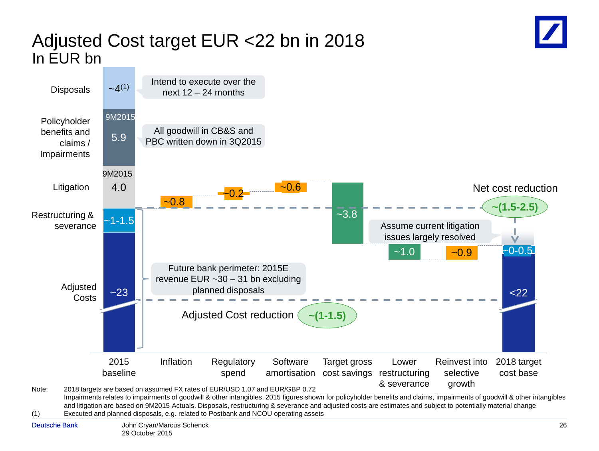#### Adjusted Cost target EUR <22 bn in 2018 In EUR bn



(1) Executed and planned disposals, e.g. related to Postbank and NCOU operating assets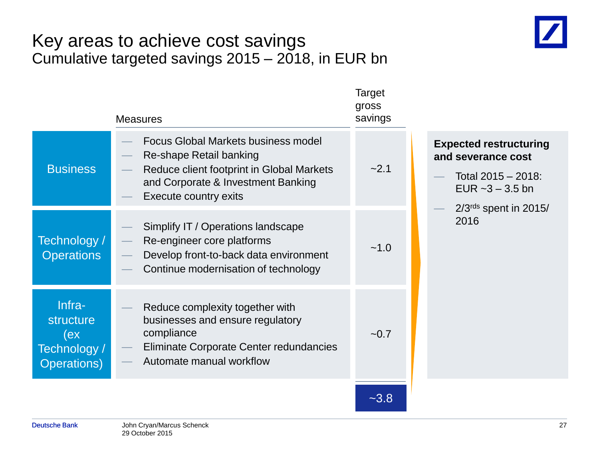#### Key areas to achieve cost savings Cumulative targeted savings 2015 – 2018, in EUR bn



| <b>Focus Global Markets business model</b><br>Re-shape Retail banking<br>and severance cost<br><b>Business</b><br>$-2.1$<br>Reduce client footprint in Global Markets<br>Total 2015 - 2018:<br>and Corporate & Investment Banking<br>EUR $-3 - 3.5$ bn<br><b>Execute country exits</b><br>$2/3rds$ spent in 2015/<br>2016<br>Simplify IT / Operations landscape<br>Technology /<br>Re-engineer core platforms<br>~1.0<br><b>Operations</b><br>Develop front-to-back data environment<br>Continue modernisation of technology<br>Infra-<br>Reduce complexity together with<br><b>structure</b><br>businesses and ensure regulatory<br>compliance<br>(ex<br>$-0.7$<br>Eliminate Corporate Center redundancies<br>Technology /<br>Automate manual workflow<br><b>Operations</b> ) | <b>Measures</b> | Target<br>gross<br>savings |                               |
|--------------------------------------------------------------------------------------------------------------------------------------------------------------------------------------------------------------------------------------------------------------------------------------------------------------------------------------------------------------------------------------------------------------------------------------------------------------------------------------------------------------------------------------------------------------------------------------------------------------------------------------------------------------------------------------------------------------------------------------------------------------------------------|-----------------|----------------------------|-------------------------------|
|                                                                                                                                                                                                                                                                                                                                                                                                                                                                                                                                                                                                                                                                                                                                                                                |                 |                            | <b>Expected restructuring</b> |
|                                                                                                                                                                                                                                                                                                                                                                                                                                                                                                                                                                                                                                                                                                                                                                                |                 |                            |                               |
|                                                                                                                                                                                                                                                                                                                                                                                                                                                                                                                                                                                                                                                                                                                                                                                |                 |                            |                               |

 $-3.8$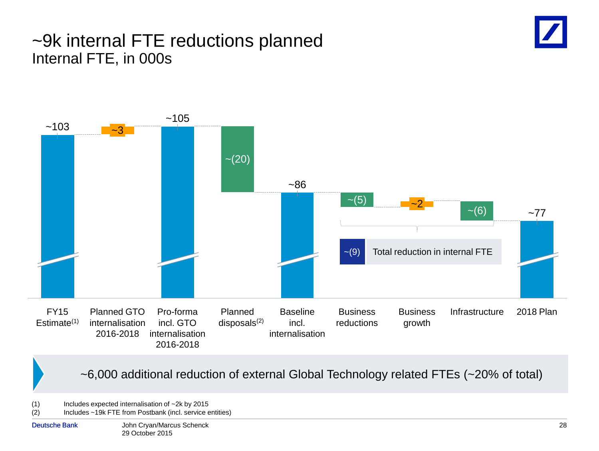#### ~9k internal FTE reductions planned Internal FTE, in 000s





~6,000 additional reduction of external Global Technology related FTEs (~20% of total)

(1) Includes expected internalisation of  $\sim$  2k by 2015<br>(2) Includes  $\sim$  19k FTE from Postbank (incl. service  $\epsilon$ Includes ~19k FTE from Postbank (incl. service entities)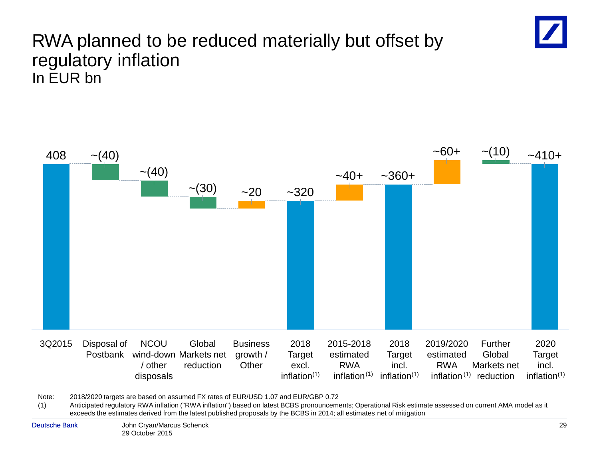## RWA planned to be reduced materially but offset by regulatory inflation In EUR bn



Note: 2018/2020 targets are based on assumed FX rates of EUR/USD 1.07 and EUR/GBP 0.72

(1) Anticipated regulatory RWA inflation ("RWA inflation") based on latest BCBS pronouncements; Operational Risk estimate assessed on current AMA model as it exceeds the estimates derived from the latest published proposals by the BCBS in 2014; all estimates net of mitigation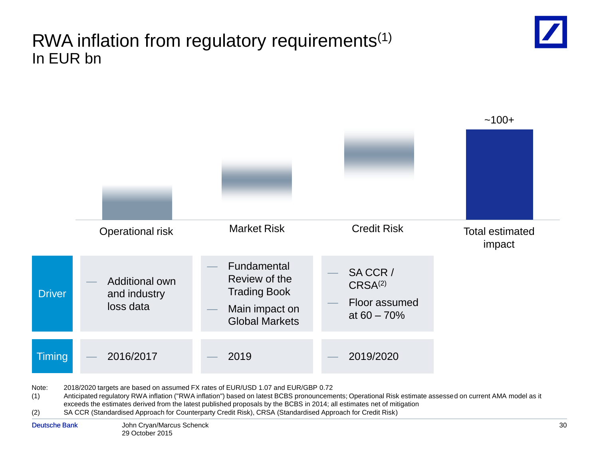#### RWA inflation from regulatory requirements(1) In EUR bn





Note: 2018/2020 targets are based on assumed FX rates of EUR/USD 1.07 and EUR/GBP 0.72

(1) Anticipated regulatory RWA inflation ("RWA inflation") based on latest BCBS pronouncements; Operational Risk estimate assessed on current AMA model as it exceeds the estimates derived from the latest published proposals by the BCBS in 2014; all estimates net of mitigation

(2) SA CCR (Standardised Approach for Counterparty Credit Risk), CRSA (Standardised Approach for Credit Risk)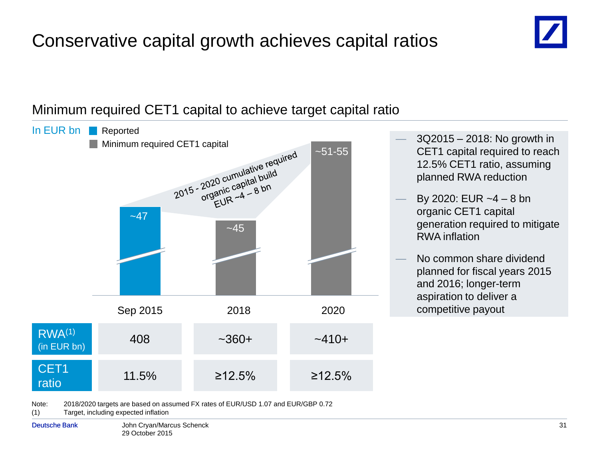## Conservative capital growth achieves capital ratios



#### Minimum required CET1 capital to achieve target capital ratio

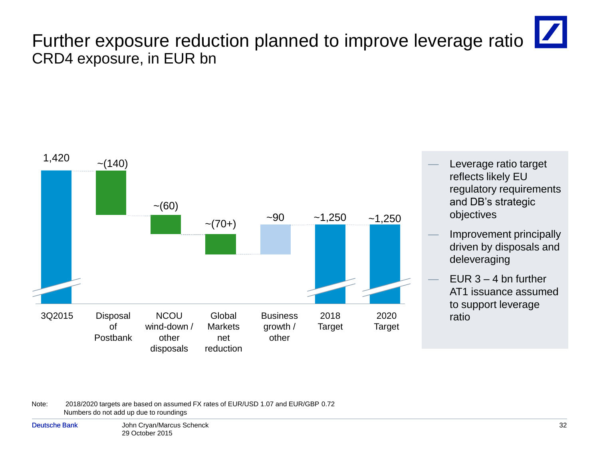## Further exposure reduction planned to improve leverage ratio CRD4 exposure, in EUR bn



- Leverage ratio target reflects likely EU regulatory requirements and DB's strategic objectives
- Improvement principally driven by disposals and deleveraging
- EUR  $3 4$  bn further AT1 issuance assumed to support leverage ratio

Note: 2018/2020 targets are based on assumed FX rates of EUR/USD 1.07 and EUR/GBP 0.72 Numbers do not add up due to roundings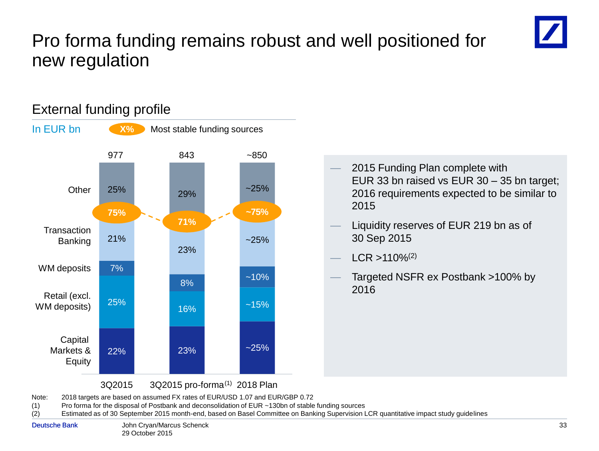### Pro forma funding remains robust and well positioned for new regulation



#### 22% 23% ~25% 25% 16% ~15% 7%  $8\%$  ~10% 21% 23%  $~25%$  $25\%$  29%  $29\%$ **Other Transaction** Banking WM deposits Retail (excl. WM deposits) **Capital** Markets & Equity **75% 71%** 977 **X%** Most stable funding sources 843 **~75%**  $~1 - 850$ — 2015 Funding Plan complete with EUR 33 bn raised vs EUR 30 – 35 bn target; 2016 requirements expected to be similar to 2015 — Liquidity reserves of EUR 219 bn as of 30 Sep 2015  $ICR > 110\%/2)$ — Targeted NSFR ex Postbank >100% by 2016 In EUR bn

#### External funding profile

3Q2015 3Q2015 pro-forma<sup>(1)</sup> 2018 Plan

Note: 2018 targets are based on assumed FX rates of EUR/USD 1.07 and EUR/GBP 0.72

(1) Pro forma for the disposal of Postbank and deconsolidation of EUR ~130bn of stable funding sources

(2) Estimated as of 30 September 2015 month-end, based on Basel Committee on Banking Supervision LCR quantitative impact study guidelines

John Cryan/Marcus Schenck Deutsche Bank 33 29 October 2015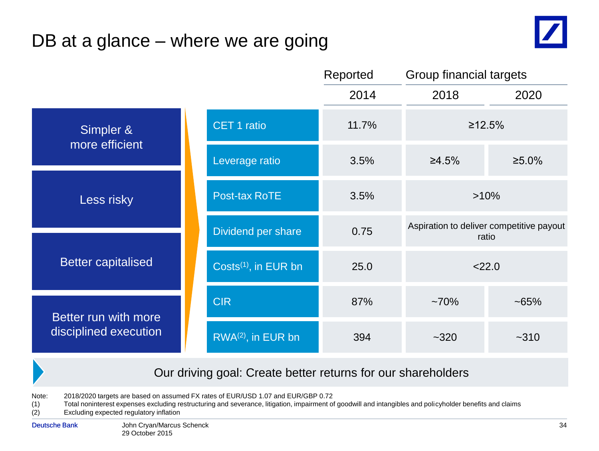## DB at a glance – where we are going



|                           |                                  | Reported | Group financial targets |                                                   |
|---------------------------|----------------------------------|----------|-------------------------|---------------------------------------------------|
|                           |                                  | 2014     | 2018                    | 2020                                              |
| Simpler &                 | <b>CET 1 ratio</b>               | 11.7%    |                         | ≥12.5%                                            |
| more efficient            | Leverage ratio                   | 3.5%     | ≥4.5%                   | ≥5.0%                                             |
| Less risky                | <b>Post-tax RoTE</b>             | 3.5%     |                         | $>10\%$                                           |
|                           | Dividend per share               | 0.75     |                         | Aspiration to deliver competitive payout<br>ratio |
| <b>Better capitalised</b> | Costs <sup>(1)</sup> , in EUR bn | 25.0     |                         | 22.0                                              |
| Better run with more      | <b>CIR</b>                       | 87%      | $~10\%$                 | $~165\%$                                          |
| disciplined execution     | RWA <sup>(2)</sup> , in EUR bn   | 394      | $~1 - 320$              | $-310$                                            |

#### Our driving goal: Create better returns for our shareholders

Note: 2018/2020 targets are based on assumed FX rates of EUR/USD 1.07 and EUR/GBP 0.72

(1) Total noninterest expenses excluding restructuring and severance, litigation, impairment of goodwill and intangibles and policyholder benefits and claims<br>(2) Excluding expected regulatory inflation

Excluding expected regulatory inflation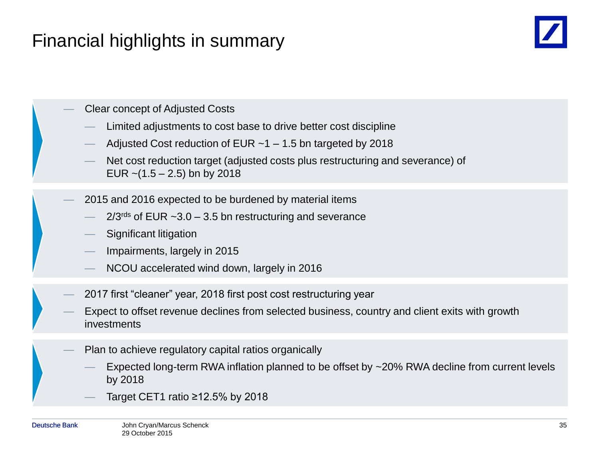### Financial highlights in summary



— Clear concept of Adjusted Costs

- Limited adjustments to cost base to drive better cost discipline
- Adjusted Cost reduction of EUR  $~1$  1.5 bn targeted by 2018
- Net cost reduction target (adjusted costs plus restructuring and severance) of EUR  $\sim$  (1.5 – 2.5) bn by 2018
- 2015 and 2016 expected to be burdened by material items
	- $2/3$ <sup>rds</sup> of EUR  $\sim$ 3.0 3.5 bn restructuring and severance
	- Significant litigation
	- Impairments, largely in 2015
	- NCOU accelerated wind down, largely in 2016
- 2017 first "cleaner" year, 2018 first post cost restructuring year
- Expect to offset revenue declines from selected business, country and client exits with growth investments
	- Plan to achieve regulatory capital ratios organically
		- Expected long-term RWA inflation planned to be offset by ~20% RWA decline from current levels by 2018
		- Target CET1 ratio  $\geq$ 12.5% by 2018